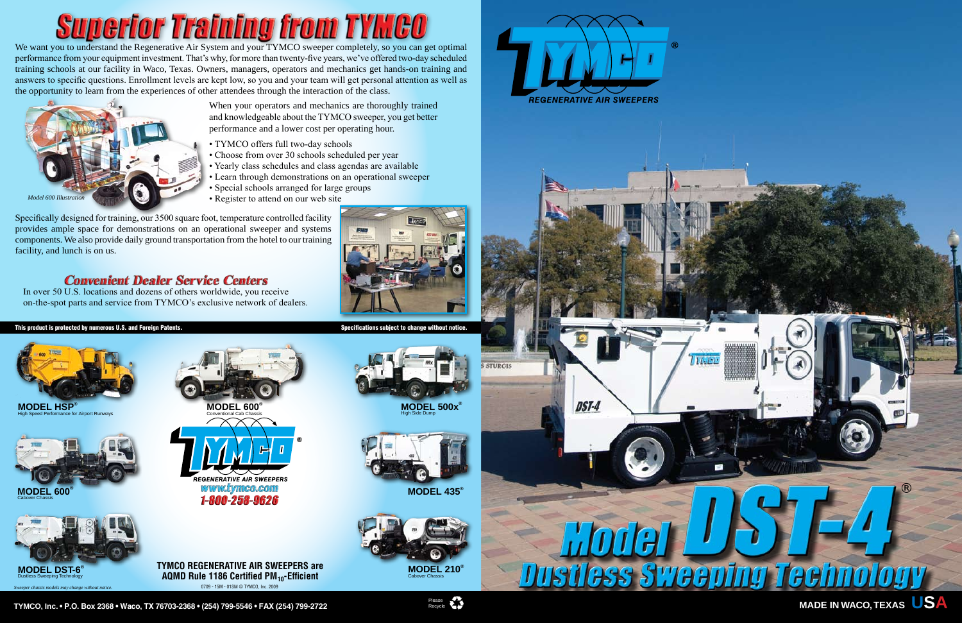**MODEL 500x®** High Side Dump



## **Superior Training from TYMCO**

We want you to understand the Regenerative Air System and your TYMCO sweeper completely, so you can get optimal performance from your equipment investment. That's why, for more than twenty-five years, we've offered two-day scheduled training schools at our facility in Waco, Texas. Owners, managers, operators and mechanics get hands-on training and answers to specific questions. Enrollment levels are kept low, so you and your team will get personal attention as well as the opportunity to learn from the experiences of other attendees through the interaction of the class.

> When your operators and mechanics are thoroughly trained and knowledgeable about the TYMCO sweeper, you get better performance and a lower cost per operating hour.

- TYMCO offers full two-day schools
- Choose from over 30 schools scheduled per year
- Yearly class schedules and class agendas are available
- Learn through demonstrations on an operational sweeper
- Special schools arranged for large groups
- Register to attend on our web site

**MODEL HSP** High Speed Performance for Airport Runways

Specifically designed for training, our 3500 square foot, temperature controlled facility provides ample space for demonstrations on an operational sweeper and systems components. We also provide daily ground transportation from the hotel to our training facility, and lunch is on us.

## **Convenient Dealer Service Centers**

In over 50 U.S. locations and dozens of others worldwide, you receive on-the-spot parts and service from TYMCO's exclusive network of dealers.









**TYMCO REGENERATIVE AIR SWEEPERS are AQMD Rule 1186 Certified PM<sub>10</sub>-Efficient** 0709 - 15M - 01SM © TYMCO, Inc. 2009



## This product is protected by numerous U.S. and Foreign Patents. Specifications subject to change without notice.





*Sweeper chassis models may change without notice.*

**MODEL 600®** Conventional Cab Chassis



**MODEL 435®**



**TYMCO, Inc. • P.O. Box 2368 • Waco, TX 76703-2368 • (254) 799-5546 • FAX (254) 799-2722** Please